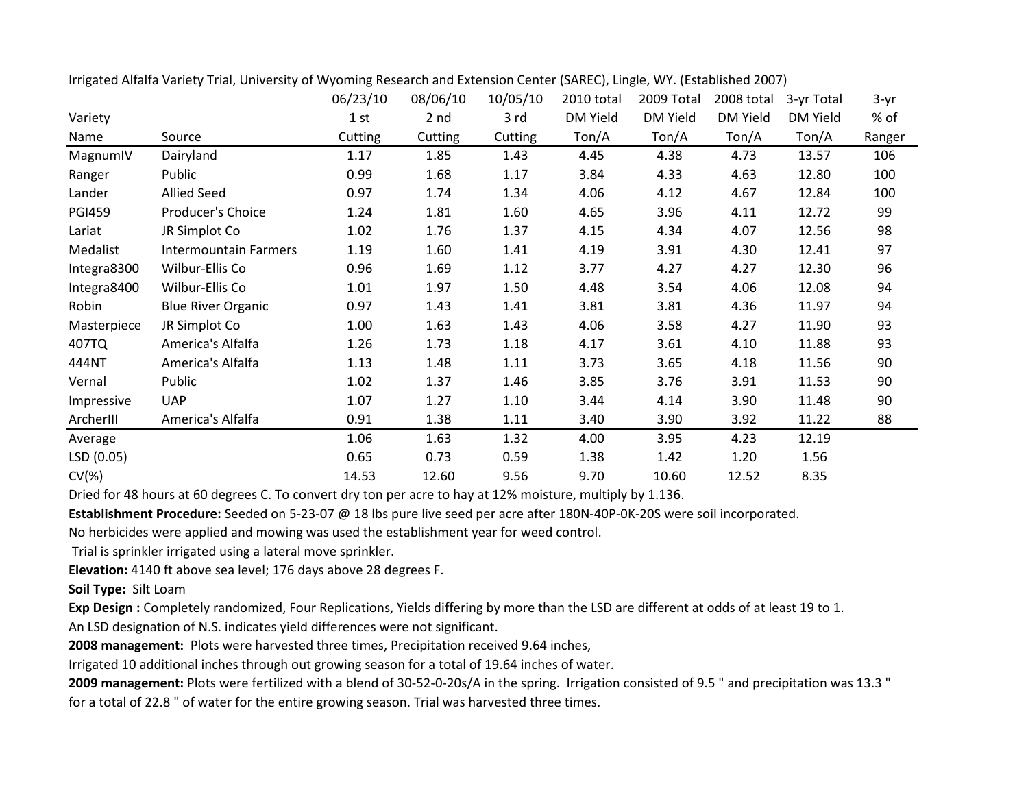|               |                              | 06/23/10 | 08/06/10 | 10/05/10 | 2010 total | 2009 Total | 2008 total      | 3-yr Total      | $3-yr$ |
|---------------|------------------------------|----------|----------|----------|------------|------------|-----------------|-----------------|--------|
| Variety       |                              | 1 st     | 2 nd     | 3 rd     | DM Yield   | DM Yield   | <b>DM Yield</b> | <b>DM Yield</b> | % of   |
| Name          | Source                       | Cutting  | Cutting  | Cutting  | Ton/A      | Ton/A      | Ton/A           | Ton/A           | Ranger |
| MagnumIV      | Dairyland                    | 1.17     | 1.85     | 1.43     | 4.45       | 4.38       | 4.73            | 13.57           | 106    |
| Ranger        | Public                       | 0.99     | 1.68     | 1.17     | 3.84       | 4.33       | 4.63            | 12.80           | 100    |
| Lander        | <b>Allied Seed</b>           | 0.97     | 1.74     | 1.34     | 4.06       | 4.12       | 4.67            | 12.84           | 100    |
| <b>PGI459</b> | Producer's Choice            | 1.24     | 1.81     | 1.60     | 4.65       | 3.96       | 4.11            | 12.72           | 99     |
| Lariat        | JR Simplot Co                | 1.02     | 1.76     | 1.37     | 4.15       | 4.34       | 4.07            | 12.56           | 98     |
| Medalist      | <b>Intermountain Farmers</b> | 1.19     | 1.60     | 1.41     | 4.19       | 3.91       | 4.30            | 12.41           | 97     |
| Integra8300   | Wilbur-Ellis Co              | 0.96     | 1.69     | 1.12     | 3.77       | 4.27       | 4.27            | 12.30           | 96     |
| Integra8400   | Wilbur-Ellis Co              | 1.01     | 1.97     | 1.50     | 4.48       | 3.54       | 4.06            | 12.08           | 94     |
| Robin         | <b>Blue River Organic</b>    | 0.97     | 1.43     | 1.41     | 3.81       | 3.81       | 4.36            | 11.97           | 94     |
| Masterpiece   | JR Simplot Co                | 1.00     | 1.63     | 1.43     | 4.06       | 3.58       | 4.27            | 11.90           | 93     |
| 407TQ         | America's Alfalfa            | 1.26     | 1.73     | 1.18     | 4.17       | 3.61       | 4.10            | 11.88           | 93     |
| 444NT         | America's Alfalfa            | 1.13     | 1.48     | 1.11     | 3.73       | 3.65       | 4.18            | 11.56           | 90     |
| Vernal        | Public                       | 1.02     | 1.37     | 1.46     | 3.85       | 3.76       | 3.91            | 11.53           | 90     |
| Impressive    | <b>UAP</b>                   | 1.07     | 1.27     | 1.10     | 3.44       | 4.14       | 3.90            | 11.48           | 90     |
| ArcherIII     | America's Alfalfa            | 0.91     | 1.38     | 1.11     | 3.40       | 3.90       | 3.92            | 11.22           | 88     |
| Average       |                              | 1.06     | 1.63     | 1.32     | 4.00       | 3.95       | 4.23            | 12.19           |        |
| LSD (0.05)    |                              | 0.65     | 0.73     | 0.59     | 1.38       | 1.42       | 1.20            | 1.56            |        |
| $CV(\%)$      |                              | 14.53    | 12.60    | 9.56     | 9.70       | 10.60      | 12.52           | 8.35            |        |

Irrigated Alfalfa Variety Trial, University of Wyoming Research and Extension Center (SAREC), Lingle, WY. (Established 2007)

Dried for 48 hours at 60 degrees C. To convert dry ton per acre to hay at 12% moisture, multiply by 1.136.

**Establishment Procedure:** Seeded on 5-23-07 @ 18 lbs pure live seed per acre after 180N-40P-0K-20S were soil incorporated.

No herbicides were applied and mowing was used the establishment year for weed control.

Trial is sprinkler irrigated using a lateral move sprinkler.

**Elevation:** 4140 ft above sea level; 176 days above 28 degrees F.

**Soil Type:** Silt Loam

**Exp Design :** Completely randomized, Four Replications, Yields differing by more than the LSD are different at odds of at least 19 to 1.

An LSD designation of N.S. indicates yield differences were not significant.

**2008 management:** Plots were harvested three times, Precipitation received 9.64 inches,

Irrigated 10 additional inches through out growing season for a total of 19.64 inches of water.

**2009 management:** Plots were fertilized with a blend of 30-52-0-20s/A in the spring. Irrigation consisted of 9.5 " and precipitation was 13.3 " for a total of 22.8 " of water for the entire growing season. Trial was harvested three times.